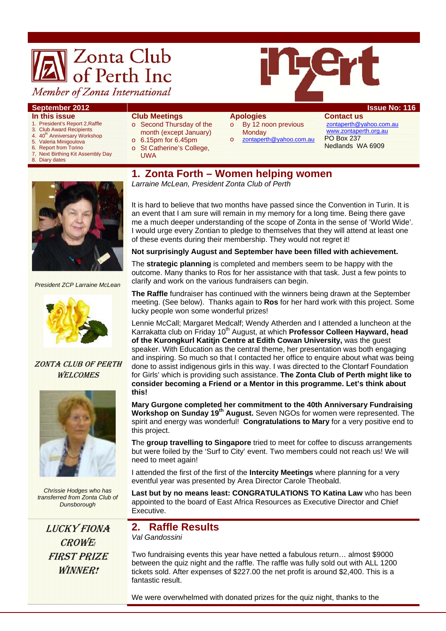# **Zonta Club**<br>of Perth Inc



# Member of Zonta International

#### **September 2012 Issue No: 116**

#### **In this issue**

- 1. President's Report 2,Raffle
- 3. Club Award Recipients 4. 40<sup>th</sup> Anniversary Workshop
- 
- 5. Valeria Minigoulova<br>6. Report from Torino
- 6. Report from Torino<br>7. Next Birthing Kit As 7, Next Birthing Kit Assembly Day
- **Diary dates**

#### **Club Meetings**

- o Second Thursday of the month (except January)
- o 6.15pm for 6.45pm
- o St Catherine's College,
- UWA

#### **Apologies**

- o By 12 noon previous
- **Monday**
- o zontaperth@yahoo.com.au

**Contact us**  zontaperth@yahoo.com.au www.zontaperth.org.au PO Box 237 Nedlands WA 6909

**1. Zonta Forth – Women helping women**  *Larraine McLean, President Zonta Club of Perth* 

*President ZCP Larraine McLean* 



ZONTA CLUB OF PERTH **WELCOMES** 



*Chrissie Hodges who has transferred from Zonta Club of Dunsborough* 

LUCKY FIONA CROWE*!*  FIRST PRIZE WINNER!

It is hard to believe that two months have passed since the Convention in Turin. It is an event that I am sure will remain in my memory for a long time. Being there gave me a much deeper understanding of the scope of Zonta in the sense of 'World Wide'. I would urge every Zontian to pledge to themselves that they will attend at least one of these events during their membership. They would not regret it!

#### **Not surprisingly August and September have been filled with achievement.**

The **strategic planning** is completed and members seem to be happy with the outcome. Many thanks to Ros for her assistance with that task. Just a few points to clarify and work on the various fundraisers can begin.

**The Raffle** fundraiser has continued with the winners being drawn at the September meeting. (See below). Thanks again to **Ros** for her hard work with this project. Some lucky people won some wonderful prizes!

Lennie McCall; Margaret Medcalf; Wendy Atherden and I attended a luncheon at the Karrakatta club on Friday 10<sup>th</sup> August, at which **Professor Colleen Hayward, head of the Kurongkurl Katitjn Centre at Edith Cowan University,** was the guest speaker. With Education as the central theme, her presentation was both engaging and inspiring. So much so that I contacted her office to enquire about what was being done to assist indigenous girls in this way. I was directed to the Clontarf Foundation for Girls' which is providing such assistance. **The Zonta Club of Perth might like to consider becoming a Friend or a Mentor in this programme. Let's think about this!** 

**Mary Gurgone completed her commitment to the 40th Anniversary Fundraising Workshop on Sunday 19th August.** Seven NGOs for women were represented. The spirit and energy was wonderful! **Congratulations to Mary** for a very positive end to this project.

**T**he **group travelling to Singapore** tried to meet for coffee to discuss arrangements but were foiled by the 'Surf to City' event. Two members could not reach us! We will need to meet again!

I attended the first of the first of the **Intercity Meetings** where planning for a very eventful year was presented by Area Director Carole Theobald.

**Last but by no means least: CONGRATULATIONS TO Katina Law** who has been appointed to the board of East Africa Resources as Executive Director and Chief Executive.

# **2. Raffle Results**

*Val Gandossini*

Two fundraising events this year have netted a fabulous return… almost \$9000 between the quiz night and the raffle. The raffle was fully sold out with ALL 1200 tickets sold. After expenses of \$227.00 the net profit is around \$2,400. This is a fantastic result.

We were overwhelmed with donated prizes for the quiz night, thanks to the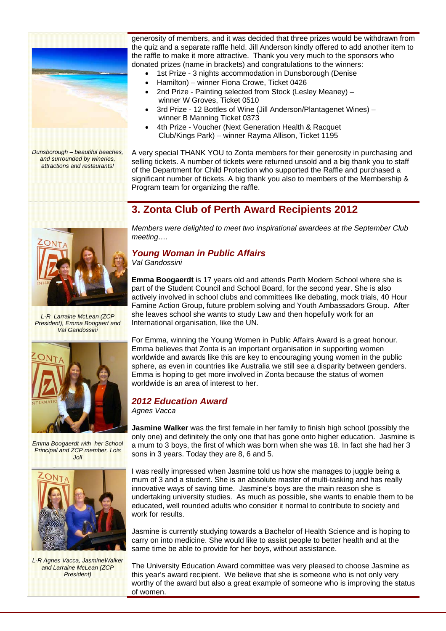

*Dunsborough – beautiful beaches, and surrounded by wineries, attractions and restaurants!* 

generosity of members, and it was decided that three prizes would be withdrawn from the quiz and a separate raffle held. Jill Anderson kindly offered to add another item to the raffle to make it more attractive. Thank you very much to the sponsors who donated prizes (name in brackets) and congratulations to the winners:

- 1st Prize 3 nights accommodation in Dunsborough (Denise
- Hamilton) winner Fiona Crowe, Ticket 0426
- 2nd Prize Painting selected from Stock (Lesley Meaney) winner W Groves, Ticket 0510
- 3rd Prize 12 Bottles of Wine (Jill Anderson/Plantagenet Wines) winner B Manning Ticket 0373
- 4th Prize Voucher (Next Generation Health & Racquet Club/Kings Park) – winner Rayma Allison, Ticket 1195

A very special THANK YOU to Zonta members for their generosity in purchasing and selling tickets. A number of tickets were returned unsold and a big thank you to staff of the Department for Child Protection who supported the Raffle and purchased a significant number of tickets. A big thank you also to members of the Membership & Program team for organizing the raffle.

*Members were delighted to meet two inspirational awardees at the September Club* 

## **3. Zonta Club of Perth Award Recipients 2012**



*L-R Larraine McLean (ZCP President), Emma Boogaert and Val Gandossini* 



*Emma Boogaerdt with her School Principal and ZCP member, Lois*   $J$ oll



*L-R Agnes Vacca, JasmineWalker and Larraine McLean (ZCP President)* 

# *Young Woman in Public Affairs*

*Val Gandossini* 

*meeting….* 

**Emma Boogaerdt** is 17 years old and attends Perth Modern School where she is part of the Student Council and School Board, for the second year. She is also actively involved in school clubs and committees like debating, mock trials, 40 Hour Famine Action Group, future problem solving and Youth Ambassadors Group. After she leaves school she wants to study Law and then hopefully work for an International organisation, like the UN.

For Emma, winning the Young Women in Public Affairs Award is a great honour. Emma believes that Zonta is an important organisation in supporting women worldwide and awards like this are key to encouraging young women in the public sphere, as even in countries like Australia we still see a disparity between genders. Emma is hoping to get more involved in Zonta because the status of women worldwide is an area of interest to her

#### *2012 Education Award*

*Agnes Vacca* 

**Jasmine Walker** was the first female in her family to finish high school (possibly the only one) and definitely the only one that has gone onto higher education. Jasmine is a mum to 3 boys, the first of which was born when she was 18. In fact she had her 3 sons in 3 years. Today they are 8, 6 and 5.

I was really impressed when Jasmine told us how she manages to juggle being a mum of 3 and a student. She is an absolute master of multi-tasking and has really innovative ways of saving time. Jasmine's boys are the main reason she is undertaking university studies. As much as possible, she wants to enable them to be educated, well rounded adults who consider it normal to contribute to society and work for results.

Jasmine is currently studying towards a Bachelor of Health Science and is hoping to carry on into medicine. She would like to assist people to better health and at the same time be able to provide for her boys, without assistance.

The University Education Award committee was very pleased to choose Jasmine as this year's award recipient. We believe that she is someone who is not only very worthy of the award but also a great example of someone who is improving the status of women.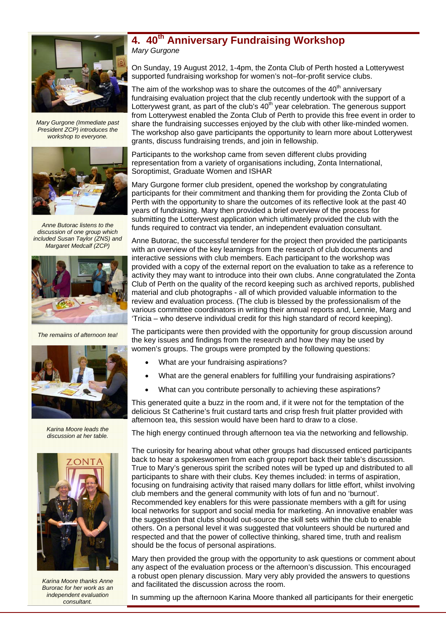

*Mary Gurgone (Immediate past President ZCP) introduces the workshop to everyone.* 



*Anne Butorac listens to the discussion of one group which included Susan Taylor (ZNS) and Margaret Medcalf (ZCP)* 



*The remaiins of afternoon tea!* 



*Karina Moore leads the discussion at her table.* 



*Karina Moore thanks Anne Burorac for her work as an independent evaluation consultant.* 

### **4. 40th Anniversary Fundraising Workshop**  *Mary Gurgone*

On Sunday, 19 August 2012, 1-4pm, the Zonta Club of Perth hosted a Lotterywest supported fundraising workshop for women's not–for-profit service clubs.

The aim of the workshop was to share the outcomes of the  $40<sup>th</sup>$  anniversary fundraising evaluation project that the club recently undertook with the support of a Lotterywest grant, as part of the club's  $40<sup>th</sup>$  year celebration. The generous support from Lotterywest enabled the Zonta Club of Perth to provide this free event in order to share the fundraising successes enjoyed by the club with other like-minded women. The workshop also gave participants the opportunity to learn more about Lotterywest grants, discuss fundraising trends, and join in fellowship.

Participants to the workshop came from seven different clubs providing representation from a variety of organisations including, Zonta International, Soroptimist, Graduate Women and ISHAR

Mary Gurgone former club president, opened the workshop by congratulating participants for their commitment and thanking them for providing the Zonta Club of Perth with the opportunity to share the outcomes of its reflective look at the past 40 years of fundraising. Mary then provided a brief overview of the process for submitting the Lotterywest application which ultimately provided the club with the funds required to contract via tender, an independent evaluation consultant.

Anne Butorac, the successful tenderer for the project then provided the participants with an overview of the key learnings from the research of club documents and interactive sessions with club members. Each participant to the workshop was provided with a copy of the external report on the evaluation to take as a reference to activity they may want to introduce into their own clubs. Anne congratulated the Zonta Club of Perth on the quality of the record keeping such as archived reports, published material and club photographs - all of which provided valuable information to the review and evaluation process. (The club is blessed by the professionalism of the various committee coordinators in writing their annual reports and, Lennie, Marg and 'Tricia – who deserve individual credit for this high standard of record keeping).

The participants were then provided with the opportunity for group discussion around the key issues and findings from the research and how they may be used by women's groups. The groups were prompted by the following questions:

- What are your fundraising aspirations?
- What are the general enablers for fulfilling your fundraising aspirations?
- What can you contribute personally to achieving these aspirations?

This generated quite a buzz in the room and, if it were not for the temptation of the delicious St Catherine's fruit custard tarts and crisp fresh fruit platter provided with afternoon tea, this session would have been hard to draw to a close.

The high energy continued through afternoon tea via the networking and fellowship.

The curiosity for hearing about what other groups had discussed enticed participants back to hear a spokeswomen from each group report back their table's discussion. True to Mary's generous spirit the scribed notes will be typed up and distributed to all participants to share with their clubs. Key themes included: in terms of aspiration, focusing on fundraising activity that raised many dollars for little effort, whilst involving club members and the general community with lots of fun and no 'burnout'. Recommended key enablers for this were passionate members with a gift for using local networks for support and social media for marketing. An innovative enabler was the suggestion that clubs should out-source the skill sets within the club to enable others. On a personal level it was suggested that volunteers should be nurtured and respected and that the power of collective thinking, shared time, truth and realism should be the focus of personal aspirations.

Mary then provided the group with the opportunity to ask questions or comment about any aspect of the evaluation process or the afternoon's discussion. This encouraged a robust open plenary discussion. Mary very ably provided the answers to questions and facilitated the discussion across the room.

In summing up the afternoon Karina Moore thanked all participants for their energetic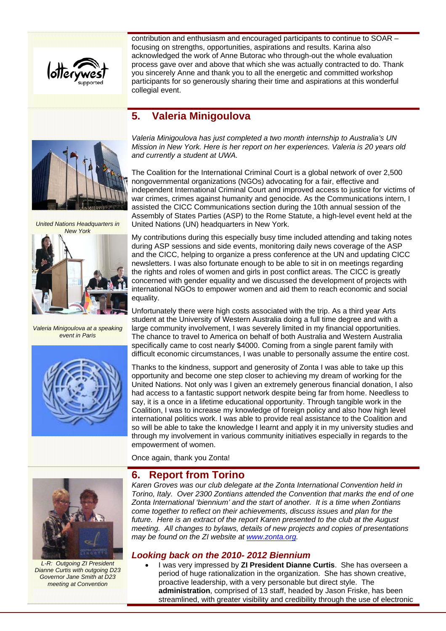

contribution and enthusiasm and encouraged participants to continue to SOAR – focusing on strengths, opportunities, aspirations and results. Karina also acknowledged the work of Anne Butorac who through-out the whole evaluation process gave over and above that which she was actually contracted to do. Thank you sincerely Anne and thank you to all the energetic and committed workshop participants for so generously sharing their time and aspirations at this wonderful collegial event.

# **5. Valeria Minigoulova**



*United Nations Headquarters in New York* 



*Valeria Minigoulova at a speaking event in Paris* 



*Valeria Minigoulova has just completed a two month internship to Australia's UN Mission in New York. Here is her report on her experiences. Valeria is 20 years old and currently a student at UWA.* 

The Coalition for the International Criminal Court is a global network of over 2,500 nongovernmental organizations (NGOs) advocating for a fair, effective and independent International Criminal Court and improved access to justice for victims of war crimes, crimes against humanity and genocide. As the Communications intern, I assisted the CICC Communications section during the 10th annual session of the Assembly of States Parties (ASP) to the Rome Statute, a high-level event held at the United Nations (UN) headquarters in New York.

My contributions during this especially busy time included attending and taking notes during ASP sessions and side events, monitoring daily news coverage of the ASP and the CICC, helping to organize a press conference at the UN and updating CICC newsletters. I was also fortunate enough to be able to sit in on meetings regarding the rights and roles of women and girls in post conflict areas. The CICC is greatly concerned with gender equality and we discussed the development of projects with international NGOs to empower women and aid them to reach economic and social equality.

Unfortunately there were high costs associated with the trip. As a third year Arts student at the University of Western Australia doing a full time degree and with a large community involvement, I was severely limited in my financial opportunities. The chance to travel to America on behalf of both Australia and Western Australia specifically came to cost nearly \$4000. Coming from a single parent family with difficult economic circumstances, I was unable to personally assume the entire cost.

Thanks to the kindness, support and generosity of Zonta I was able to take up this opportunity and become one step closer to achieving my dream of working for the United Nations. Not only was I given an extremely generous financial donation, I also had access to a fantastic support network despite being far from home. Needless to say, it is a once in a lifetime educational opportunity. Through tangible work in the Coalition, I was to increase my knowledge of foreign policy and also how high level international politics work. I was able to provide real assistance to the Coalition and so will be able to take the knowledge I learnt and apply it in my university studies and through my involvement in various community initiatives especially in regards to the empowerment of women.

Once again, thank you Zonta!

## **6. Report from Torino**



*L-R: Outgoing ZI President Dianne Curtis with outgoing D23 Governor Jane Smith at D23 meeting at Convention* 

*Karen Groves was our club delegate at the Zonta International Convention held in Torino, Italy. Over 2300 Zontians attended the Convention that marks the end of one Zonta International 'biennium' and the start of another. It is a time when Zontians come together to reflect on their achievements, discuss issues and plan for the future. Here is an extract of the report Karen presented to the club at the August meeting. All changes to bylaws, details of new projects and copies of presentations may be found on the ZI website at www.zonta.org.* 

#### *Looking back on the 2010- 2012 Biennium*

 I was very impressed by **ZI President Dianne Curtis**. She has overseen a period of huge rationalization in the organization. She has shown creative, proactive leadership, with a very personable but direct style. The **administration**, comprised of 13 staff, headed by Jason Friske, has been streamlined, with greater visibility and credibility through the use of electronic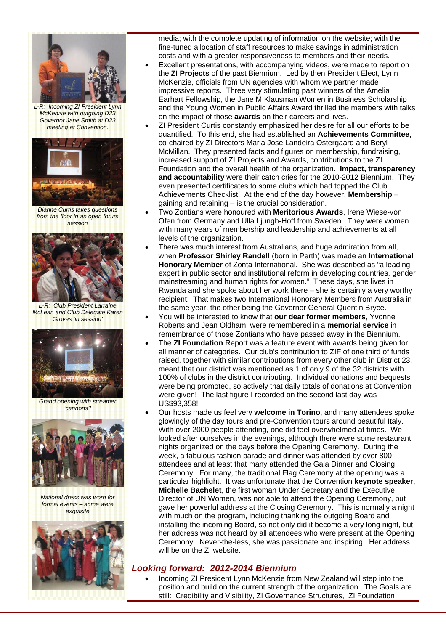

*L-R: Incoming ZI President Lynn McKenzie with outgoing D23 Governor Jane Smith at D23 meeting at Convention.* 



*Dianne Curtis takes questions from the floor in an open forum session* 



*L-R: Club President Larraine McLean and Club Delegate Karen Groves 'in session'* 



*Grand opening with streamer 'cannons'!* 



*National dress was worn for formal events – some were exquisite* 



media; with the complete updating of information on the website; with the fine-tuned allocation of staff resources to make savings in administration costs and with a greater responsiveness to members and their needs.

- Excellent presentations, with accompanying videos, were made to report on the **ZI Projects** of the past Biennium. Led by then President Elect, Lynn McKenzie, officials from UN agencies with whom we partner made impressive reports. Three very stimulating past winners of the Amelia Earhart Fellowship, the Jane M Klausman Women in Business Scholarship and the Young Women in Public Affairs Award thrilled the members with talks on the impact of those **awards** on their careers and lives.
- ZI President Curtis constantly emphasized her desire for all our efforts to be quantified. To this end, she had established an **Achievements Committee**, co-chaired by ZI Directors Maria Jose Landeira Ostergaard and Beryl McMillan. They presented facts and figures on membership, fundraising, increased support of ZI Projects and Awards, contributions to the ZI Foundation and the overall health of the organization. **Impact, transparency and accountability** were their catch cries for the 2010-2012 Biennium. They even presented certificates to some clubs which had topped the Club Achievements Checklist! At the end of the day however, **Membership** – gaining and retaining – is the crucial consideration.
- Two Zontians were honoured with **Meritorious Awards**, Irene Wiese-von Ofen from Germany and Ulla Ljungh-Hoff from Sweden. They were women with many years of membership and leadership and achievements at all levels of the organization.
- There was much interest from Australians, and huge admiration from all, when **Professor Shirley Randell** (born in Perth) was made an **International Honorary Member** of Zonta International. She was described as "a leading expert in public sector and institutional reform in developing countries, gender mainstreaming and human rights for women." These days, she lives in Rwanda and she spoke about her work there – she is certainly a very worthy recipient! That makes two International Honorary Members from Australia in the same year, the other being the Governor General Quentin Bryce.
- You will be interested to know that **our dear former members**, Yvonne Roberts and Jean Oldham, were remembered in a **memorial service** in remembrance of those Zontians who have passed away in the Biennium.
- The **ZI Foundation** Report was a feature event with awards being given for all manner of categories. Our club's contribution to ZIF of one third of funds raised, together with similar contributions from every other club in District 23, meant that our district was mentioned as 1 of only 9 of the 32 districts with 100% of clubs in the district contributing. Individual donations and bequests were being promoted, so actively that daily totals of donations at Convention were given! The last figure I recorded on the second last day was US\$93,358!
- Our hosts made us feel very **welcome in Torino**, and many attendees spoke glowingly of the day tours and pre-Convention tours around beautiful Italy. With over 2000 people attending, one did feel overwhelmed at times. We looked after ourselves in the evenings, although there were some restaurant nights organized on the days before the Opening Ceremony. During the week, a fabulous fashion parade and dinner was attended by over 800 attendees and at least that many attended the Gala Dinner and Closing Ceremony. For many, the traditional Flag Ceremony at the opening was a particular highlight. It was unfortunate that the Convention **keynote speaker**, **Michelle Bachelet**, the first woman Under Secretary and the Executive Director of UN Women, was not able to attend the Opening Ceremony, but gave her powerful address at the Closing Ceremony. This is normally a night with much on the program, including thanking the outgoing Board and installing the incoming Board, so not only did it become a very long night, but her address was not heard by all attendees who were present at the Opening Ceremony. Never-the-less, she was passionate and inspiring. Her address will be on the ZI website.

#### *Looking forward: 2012-2014 Biennium*

 Incoming ZI President Lynn McKenzie from New Zealand will step into the position and build on the current strength of the organization. The Goals are still: Credibility and Visibility, ZI Governance Structures, ZI Foundation